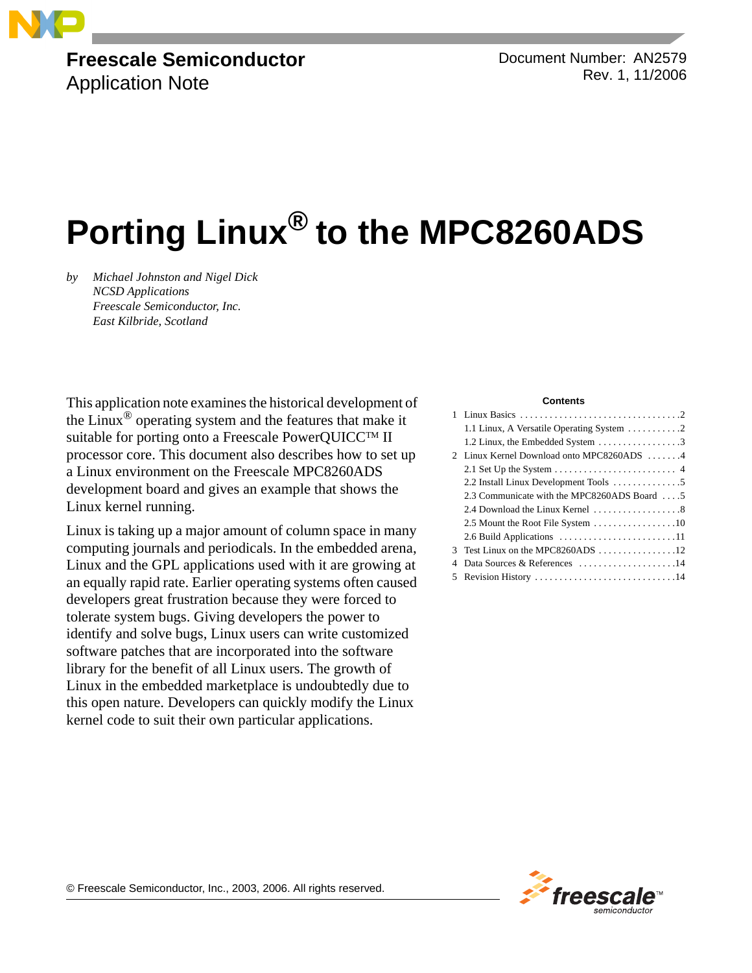

### **Freescale Semiconductor** Application Note

Document Number: AN2579 Rev. 1, 11/2006

# **Porting Linux® to the MPC8260ADS**

*by Michael Johnston and Nigel Dick NCSD Applications Freescale Semiconductor, Inc. East Kilbride, Scotland*

This application note examines the historical development of the Linux<sup>®</sup> operating system and the features that make it suitable for porting onto a Freescale PowerQUICC<sup>TM</sup> II processor core. This document also describes how to set up a Linux environment on the Freescale MPC8260ADS development board and gives an example that shows the Linux kernel running.

Linux is taking up a major amount of column space in many computing journals and periodicals. In the embedded arena, Linux and the GPL applications used with it are growing at an equally rapid rate. Earlier operating systems often caused developers great frustration because they were forced to tolerate system bugs. Giving developers the power to identify and solve bugs, Linux users can write customized software patches that are incorporated into the software library for the benefit of all Linux users. The growth of Linux in the embedded marketplace is undoubtedly due to this open nature. Developers can quickly modify the Linux kernel code to suit their own particular applications.

#### **Contents**

|    | 1.2 Linux, the Embedded System $\dots \dots \dots \dots \dots$          |
|----|-------------------------------------------------------------------------|
|    | 2 Linux Kernel Download onto MPC8260ADS 4                               |
|    | 2.1 Set Up the System $\dots \dots \dots \dots \dots \dots \dots \dots$ |
|    |                                                                         |
|    | 2.3 Communicate with the MPC8260ADS Board 5                             |
|    |                                                                         |
|    |                                                                         |
|    |                                                                         |
| 3. | Test Linux on the MPC8260ADS $\dots \dots \dots \dots \dots \dots 12$   |
|    | 4 Data Sources & References 14                                          |
|    |                                                                         |

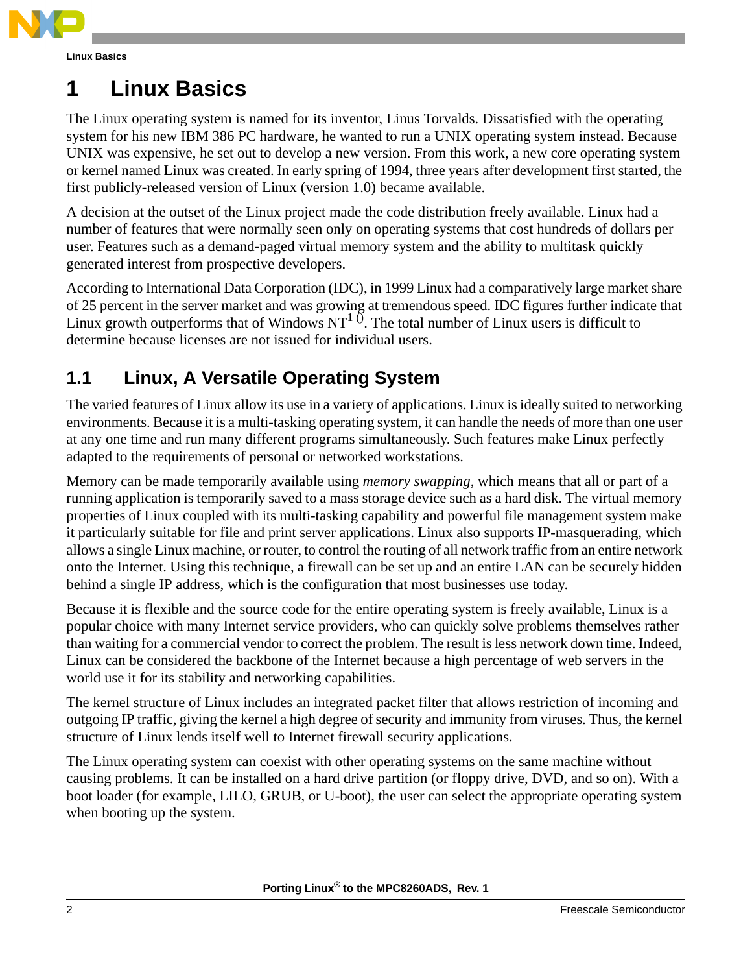

# **1 Linux Basics**

The Linux operating system is named for its inventor, Linus Torvalds. Dissatisfied with the operating system for his new IBM 386 PC hardware, he wanted to run a UNIX operating system instead. Because UNIX was expensive, he set out to develop a new version. From this work, a new core operating system or kernel named Linux was created. In early spring of 1994, three years after development first started, the first publicly-released version of Linux (version 1.0) became available.

A decision at the outset of the Linux project made the code distribution freely available. Linux had a number of features that were normally seen only on operating systems that cost hundreds of dollars per user. Features such as a demand-paged virtual memory system and the ability to multitask quickly generated interest from prospective developers.

According to International Data Corporation (IDC), in 1999 Linux had a comparatively large market share of 25 percent in the server market and was growing at tremendous speed. IDC figures further indicate that Linux growth outperforms that of Windows NT<sup>1</sup><sup> $\overline{0}$ </sup>. The total number of Linux users is difficult to determine because licenses are not issued for individual users.

### **1.1 Linux, A Versatile Operating System**

The varied features of Linux allow its use in a variety of applications. Linux is ideally suited to networking environments. Because it is a multi-tasking operating system, it can handle the needs of more than one user at any one time and run many different programs simultaneously. Such features make Linux perfectly adapted to the requirements of personal or networked workstations.

Memory can be made temporarily available using *memory swapping*, which means that all or part of a running application is temporarily saved to a mass storage device such as a hard disk. The virtual memory properties of Linux coupled with its multi-tasking capability and powerful file management system make it particularly suitable for file and print server applications. Linux also supports IP-masquerading, which allows a single Linux machine, or router, to control the routing of all network traffic from an entire network onto the Internet. Using this technique, a firewall can be set up and an entire LAN can be securely hidden behind a single IP address, which is the configuration that most businesses use today.

Because it is flexible and the source code for the entire operating system is freely available, Linux is a popular choice with many Internet service providers, who can quickly solve problems themselves rather than waiting for a commercial vendor to correct the problem. The result is less network down time. Indeed, Linux can be considered the backbone of the Internet because a high percentage of web servers in the world use it for its stability and networking capabilities.

The kernel structure of Linux includes an integrated packet filter that allows restriction of incoming and outgoing IP traffic, giving the kernel a high degree of security and immunity from viruses. Thus, the kernel structure of Linux lends itself well to Internet firewall security applications.

The Linux operating system can coexist with other operating systems on the same machine without causing problems. It can be installed on a hard drive partition (or floppy drive, DVD, and so on). With a boot loader (for example, LILO, GRUB, or U-boot), the user can select the appropriate operating system when booting up the system.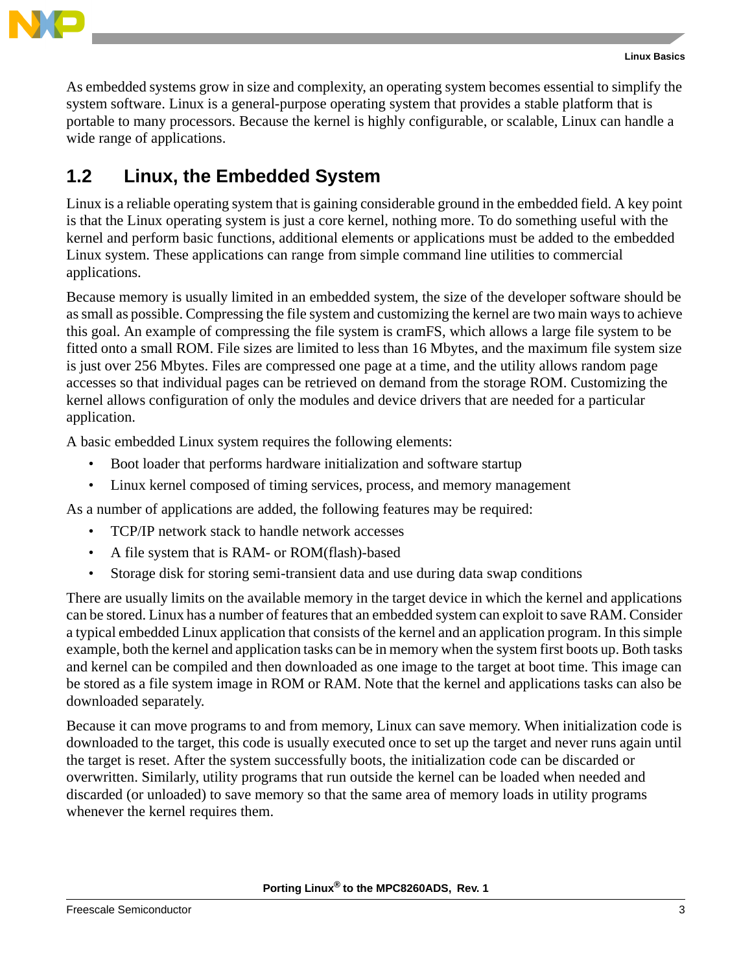



As embedded systems grow in size and complexity, an operating system becomes essential to simplify the system software. Linux is a general-purpose operating system that provides a stable platform that is portable to many processors. Because the kernel is highly configurable, or scalable, Linux can handle a wide range of applications.

### **1.2 Linux, the Embedded System**

Linux is a reliable operating system that is gaining considerable ground in the embedded field. A key point is that the Linux operating system is just a core kernel, nothing more. To do something useful with the kernel and perform basic functions, additional elements or applications must be added to the embedded Linux system. These applications can range from simple command line utilities to commercial applications.

Because memory is usually limited in an embedded system, the size of the developer software should be as small as possible. Compressing the file system and customizing the kernel are two main ways to achieve this goal. An example of compressing the file system is cramFS, which allows a large file system to be fitted onto a small ROM. File sizes are limited to less than 16 Mbytes, and the maximum file system size is just over 256 Mbytes. Files are compressed one page at a time, and the utility allows random page accesses so that individual pages can be retrieved on demand from the storage ROM. Customizing the kernel allows configuration of only the modules and device drivers that are needed for a particular application.

A basic embedded Linux system requires the following elements:

- Boot loader that performs hardware initialization and software startup
- Linux kernel composed of timing services, process, and memory management

As a number of applications are added, the following features may be required:

- TCP/IP network stack to handle network accesses
- A file system that is RAM- or ROM(flash)-based
- Storage disk for storing semi-transient data and use during data swap conditions

There are usually limits on the available memory in the target device in which the kernel and applications can be stored. Linux has a number of features that an embedded system can exploit to save RAM. Consider a typical embedded Linux application that consists of the kernel and an application program. In this simple example, both the kernel and application tasks can be in memory when the system first boots up. Both tasks and kernel can be compiled and then downloaded as one image to the target at boot time. This image can be stored as a file system image in ROM or RAM. Note that the kernel and applications tasks can also be downloaded separately.

Because it can move programs to and from memory, Linux can save memory. When initialization code is downloaded to the target, this code is usually executed once to set up the target and never runs again until the target is reset. After the system successfully boots, the initialization code can be discarded or overwritten. Similarly, utility programs that run outside the kernel can be loaded when needed and discarded (or unloaded) to save memory so that the same area of memory loads in utility programs whenever the kernel requires them.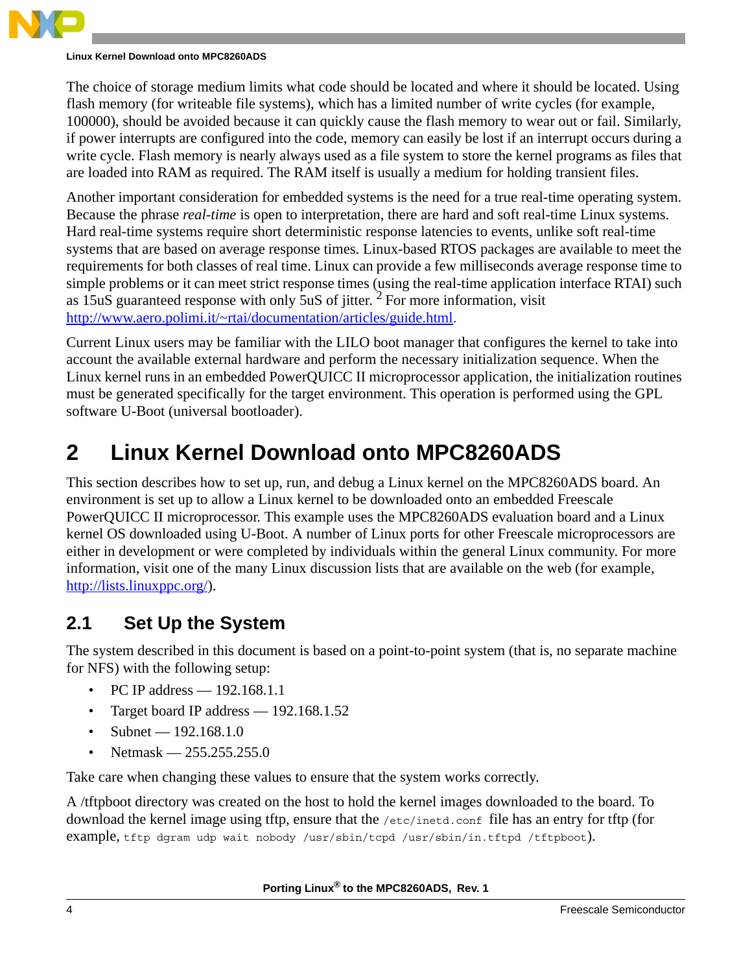

The choice of storage medium limits what code should be located and where it should be located. Using flash memory (for writeable file systems), which has a limited number of write cycles (for example, 100000), should be avoided because it can quickly cause the flash memory to wear out or fail. Similarly, if power interrupts are configured into the code, memory can easily be lost if an interrupt occurs during a write cycle. Flash memory is nearly always used as a file system to store the kernel programs as files that are loaded into RAM as required. The RAM itself is usually a medium for holding transient files.

Another important consideration for embedded systems is the need for a true real-time operating system. Because the phrase *real-time* is open to interpretation, there are hard and soft real-time Linux systems. Hard real-time systems require short deterministic response latencies to events, unlike soft real-time systems that are based on average response times. Linux-based RTOS packages are available to meet the requirements for both classes of real time. Linux can provide a few milliseconds average response time to simple problems or it can meet strict response times (using the real-time application interface RTAI) such as 15uS guaranteed response with only 5uS of jitter.  ${}^{2}$  ${}^{2}$  ${}^{2}$  For more information, visit http://www.aero.polimi.it/~rtai/documentation/articles/guide.html.

Current Linux users may be familiar with the LILO boot manager that configures the kernel to take into account the available external hardware and perform the necessary initialization sequence. When the Linux kernel runs in an embedded PowerQUICC II microprocessor application, the initialization routines must be generated specifically for the target environment. This operation is performed using the GPL software U-Boot (universal bootloader).

# **2 Linux Kernel Download onto MPC8260ADS**

This section describes how to set up, run, and debug a Linux kernel on the MPC8260ADS board. An environment is set up to allow a Linux kernel to be downloaded onto an embedded Freescale PowerQUICC II microprocessor. This example uses the MPC8260ADS evaluation board and a Linux kernel OS downloaded using U-Boot. A number of Linux ports for other Freescale microprocessors are either in development or were completed by individuals within the general Linux community. For more information, visit one of the many Linux discussion lists that are available on the web (for example, http://lists.linuxppc.org/).

### **2.1 Set Up the System**

The system described in this document is based on a point-to-point system (that is, no separate machine for NFS) with the following setup:

- PC IP address 192.168.1.1
- Target board IP address 192.168.1.52
- Subnet 192.168.1.0
- Netmask 255.255.255.0

Take care when changing these values to ensure that the system works correctly.

A /tftpboot directory was created on the host to hold the kernel images downloaded to the board. To download the kernel image using tftp, ensure that the  $/etc/$  inetd.conf file has an entry for tftp (for example, tftp dgram udp wait nobody /usr/sbin/tcpd /usr/sbin/in.tftpd /tftpboot).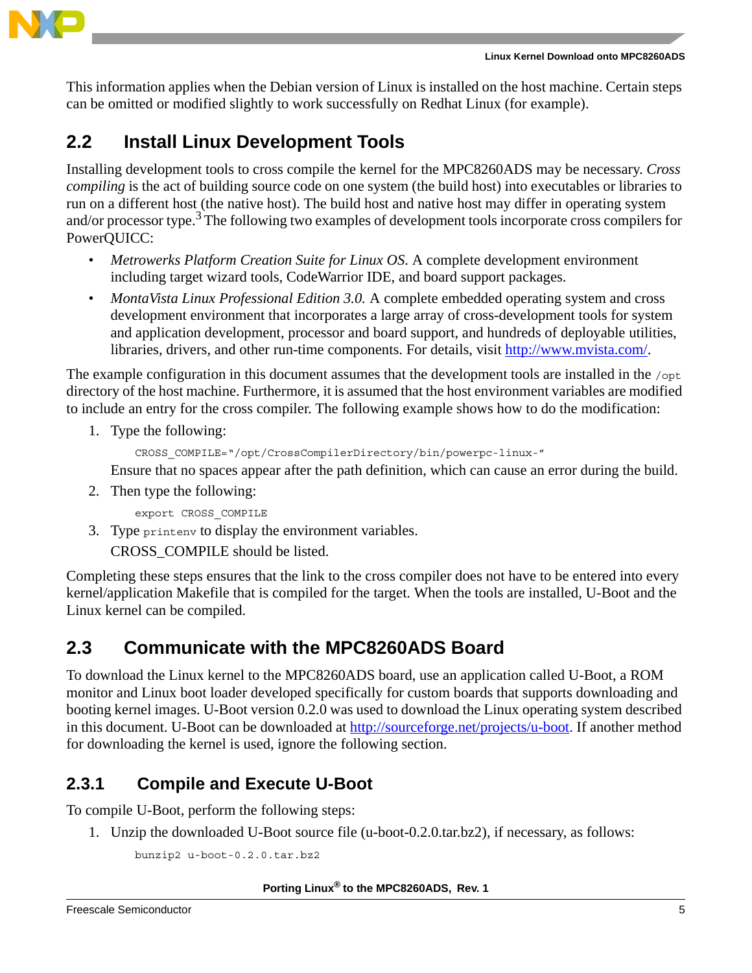

This information applies when the Debian version of Linux is installed on the host machine. Certain steps can be omitted or modified slightly to work successfully on Redhat Linux (for example).

### **2.2 Install Linux Development Tools**

Installing development tools to cross compile the kernel for the MPC8260ADS may be necessary. *Cross compiling* is the act of building source code on one system (the build host) into executables or libraries to run on a different host (the native host). The build host and native host may differ in operating system and/or processor type.<sup>[3](#page-13-2)</sup> The following two examples of development tools incorporate cross compilers for PowerQUICC:

- *Metrowerks Platform Creation Suite for Linux OS*. A complete development environment including target wizard tools, CodeWarrior IDE, and board support packages.
- *MontaVista Linux Professional Edition 3.0.* A complete embedded operating system and cross development environment that incorporates a large array of cross-development tools for system and application development, processor and board support, and hundreds of deployable utilities, libraries, drivers, and other run-time components. For details, visit http://www.mvista.com/.

The example configuration in this document assumes that the development tools are installed in the  $\gamma_{\rm opt}$ directory of the host machine. Furthermore, it is assumed that the host environment variables are modified to include an entry for the cross compiler. The following example shows how to do the modification:

1. Type the following:

CROSS\_COMPILE="/opt/CrossCompilerDirectory/bin/powerpc-linux-"

Ensure that no spaces appear after the path definition, which can cause an error during the build.

2. Then type the following:

export CROSS\_COMPILE

3. Type printenv to display the environment variables.

CROSS\_COMPILE should be listed.

Completing these steps ensures that the link to the cross compiler does not have to be entered into every kernel/application Makefile that is compiled for the target. When the tools are installed, U-Boot and the Linux kernel can be compiled.

### **2.3 Communicate with the MPC8260ADS Board**

To download the Linux kernel to the MPC8260ADS board, use an application called U-Boot, a ROM monitor and Linux boot loader developed specifically for custom boards that supports downloading and booting kernel images. U-Boot version 0.2.0 was used to download the Linux operating system described in this document. U-Boot can be downloaded at http://sourceforge.net/projects/u-boot. If another method for downloading the kernel is used, ignore the following section.

#### **2.3.1 Compile and Execute U-Boot**

To compile U-Boot, perform the following steps:

1. Unzip the downloaded U-Boot source file (u-boot-0.2.0.tar.bz2), if necessary, as follows:

bunzip2 u-boot-0.2.0.tar.bz2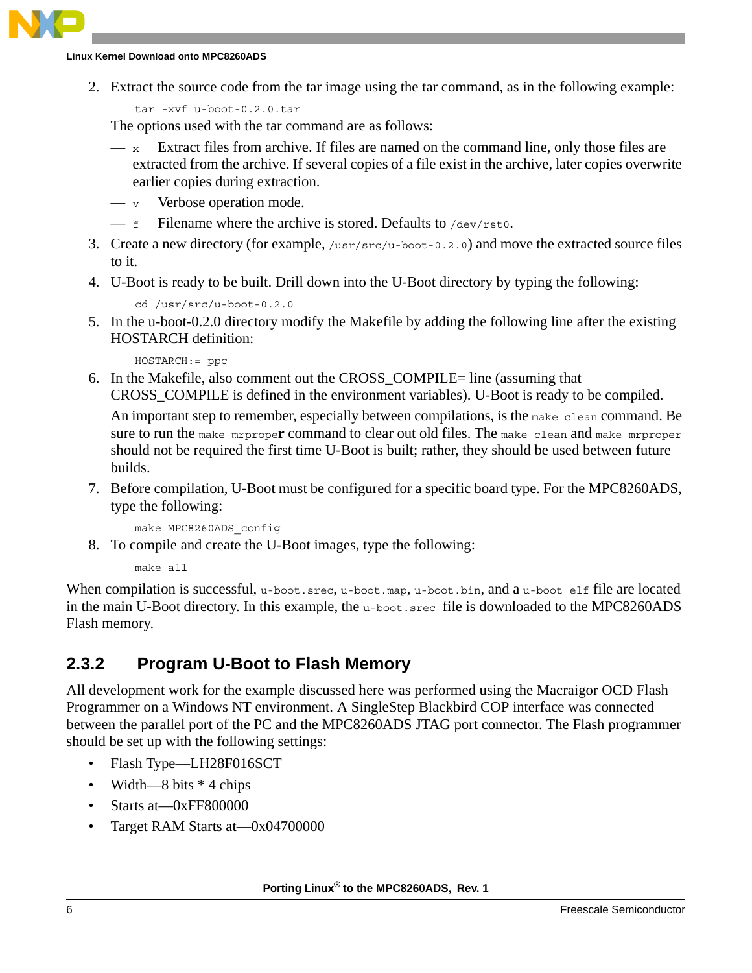

2. Extract the source code from the tar image using the tar command, as in the following example:

```
tar -xvf u-boot-0.2.0.tar
```
The options used with the tar command are as follows:

- $-\bar{x}$  Extract files from archive. If files are named on the command line, only those files are extracted from the archive. If several copies of a file exist in the archive, later copies overwrite earlier copies during extraction.
- $-$  v Verbose operation mode.
- $-$  f Filename where the archive is stored. Defaults to /dev/rst0.
- 3. Create a new directory (for example, /usr/src/u-boot-0.2.0) and move the extracted source files to it.
- 4. U-Boot is ready to be built. Drill down into the U-Boot directory by typing the following:

cd /usr/src/u-boot-0.2.0

5. In the u-boot-0.2.0 directory modify the Makefile by adding the following line after the existing HOSTARCH definition:

HOSTARCH:= ppc

6. In the Makefile, also comment out the CROSS\_COMPILE= line (assuming that CROSS\_COMPILE is defined in the environment variables). U-Boot is ready to be compiled.

An important step to remember, especially between compilations, is the make clean command. Be sure to run the make mrprope**r** command to clear out old files. The make clean and make mrproper should not be required the first time U-Boot is built; rather, they should be used between future builds.

7. Before compilation, U-Boot must be configured for a specific board type. For the MPC8260ADS, type the following:

make MPC8260ADS\_config

8. To compile and create the U-Boot images, type the following:

make all

When compilation is successful,  $u$ -boot.srec,  $u$ -boot.map,  $u$ -boot.bin, and a  $u$ -boot elf file are located in the main U-Boot directory. In this example, the u-boot.srec file is downloaded to the MPC8260ADS Flash memory.

#### **2.3.2 Program U-Boot to Flash Memory**

All development work for the example discussed here was performed using the Macraigor OCD Flash Programmer on a Windows NT environment. A SingleStep Blackbird COP interface was connected between the parallel port of the PC and the MPC8260ADS JTAG port connector. The Flash programmer should be set up with the following settings:

- Flash Type—LH28F016SCT
- Width—8 bits  $*$  4 chips
- Starts at—0xFF800000
- Target RAM Starts at—0x04700000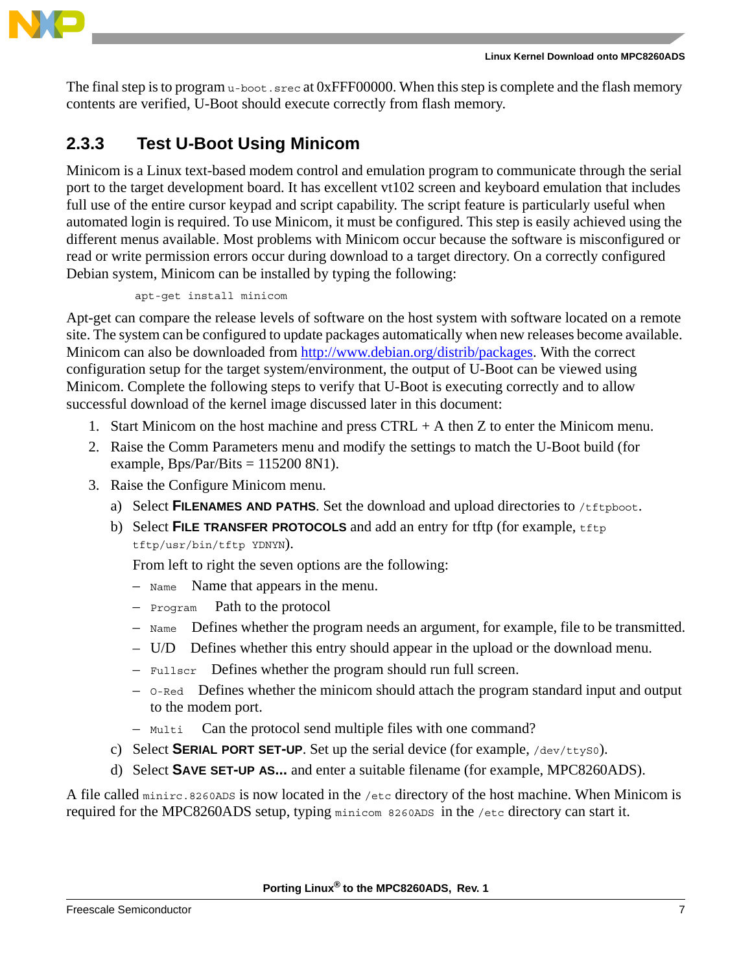

The final step is to program  $u$ -boot. srec at 0xFFF00000. When this step is complete and the flash memory contents are verified, U-Boot should execute correctly from flash memory.

### **2.3.3 Test U-Boot Using Minicom**

Minicom is a Linux text-based modem control and emulation program to communicate through the serial port to the target development board. It has excellent vt102 screen and keyboard emulation that includes full use of the entire cursor keypad and script capability. The script feature is particularly useful when automated login is required. To use Minicom, it must be configured. This step is easily achieved using the different menus available. Most problems with Minicom occur because the software is misconfigured or read or write permission errors occur during download to a target directory. On a correctly configured Debian system, Minicom can be installed by typing the following:

#### apt-get install minicom

Apt-get can compare the release levels of software on the host system with software located on a remote site. The system can be configured to update packages automatically when new releases become available. Minicom can also be downloaded from http://www.debian.org/distrib/packages. With the correct configuration setup for the target system/environment, the output of U-Boot can be viewed using Minicom. Complete the following steps to verify that U-Boot is executing correctly and to allow successful download of the kernel image discussed later in this document:

- 1. Start Minicom on the host machine and press CTRL + A then Z to enter the Minicom menu.
- 2. Raise the Comm Parameters menu and modify the settings to match the U-Boot build (for example,  $Bps/Par/Bits = 115200 8N1$ .
- 3. Raise the Configure Minicom menu.
	- a) Select **FILENAMES AND PATHS**. Set the download and upload directories to /tftpboot.
	- b) Select **FILE TRANSFER PROTOCOLS** and add an entry for tftp (for example, tftp

tftp/usr/bin/tftp YDNYN).

From left to right the seven options are the following:

- Name Name that appears in the menu.
- Program Path to the protocol
- Name Defines whether the program needs an argument, for example, file to be transmitted.
- U/D Defines whether this entry should appear in the upload or the download menu.
- Fullscr Defines whether the program should run full screen.
- O-Red Defines whether the minicom should attach the program standard input and output to the modem port.
- Multi Can the protocol send multiple files with one command?
- c) Select **SERIAL PORT SET-UP**. Set up the serial device (for example, /dev/ttyS0).
- d) Select **SAVE SET-UP AS...** and enter a suitable filename (for example, MPC8260ADS).

A file called minirc.8260ADS is now located in the /etc directory of the host machine. When Minicom is required for the MPC8260ADS setup, typing minicom 8260ADS in the /etc directory can start it.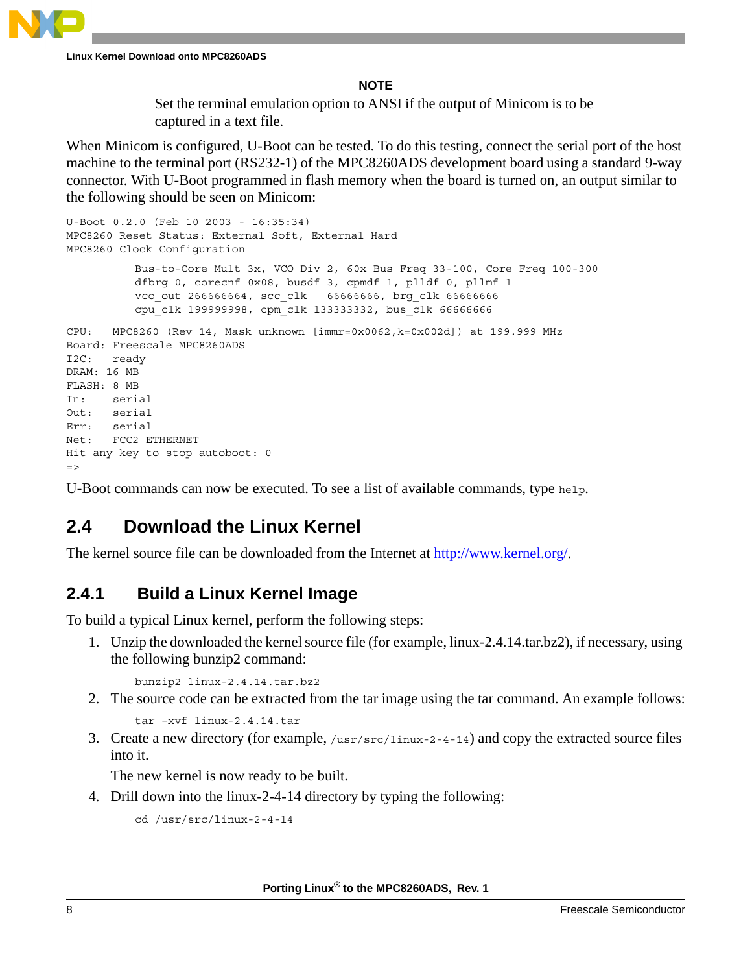

**NOTE**

Set the terminal emulation option to ANSI if the output of Minicom is to be captured in a text file.

When Minicom is configured, U-Boot can be tested. To do this testing, connect the serial port of the host machine to the terminal port (RS232-1) of the MPC8260ADS development board using a standard 9-way connector. With U-Boot programmed in flash memory when the board is turned on, an output similar to the following should be seen on Minicom:

```
U-Boot 0.2.0 (Feb 10 2003 - 16:35:34)
MPC8260 Reset Status: External Soft, External Hard
MPC8260 Clock Configuration
          Bus-to-Core Mult 3x, VCO Div 2, 60x Bus Freq 33-100, Core Freq 100-300
          dfbrg 0, corecnf 0x08, busdf 3, cpmdf 1, plldf 0, pllmf 1
          vco_out 266666664, scc_clk 66666666, brg_clk 66666666
          cpu_clk 199999998, cpm_clk 133333332, bus_clk 66666666
CPU: MPC8260 (Rev 14, Mask unknown [immr=0x0062,k=0x002d]) at 199.999 MHz
Board: Freescale MPC8260ADS
I2C: ready
DRAM: 16 MB
FLASH: 8 MB
In: serial
Out: serial
Err: serial
Net: FCC2 ETHERNET
Hit any key to stop autoboot: 0
=>
```
U-Boot commands can now be executed. To see a list of available commands, type help.

### **2.4 Download the Linux Kernel**

The kernel source file can be downloaded from the Internet at http://www.kernel.org/.

### **2.4.1 Build a Linux Kernel Image**

To build a typical Linux kernel, perform the following steps:

1. Unzip the downloaded the kernel source file (for example, linux-2.4.14.tar.bz2), if necessary, using the following bunzip2 command:

bunzip2 linux-2.4.14.tar.bz2

- 2. The source code can be extracted from the tar image using the tar command. An example follows:
	- tar –xvf linux-2.4.14.tar
- 3. Create a new directory (for example,  $/usr/src/linux-2-4-14$ ) and copy the extracted source files into it.

The new kernel is now ready to be built.

4. Drill down into the linux-2-4-14 directory by typing the following:

cd /usr/src/linux-2-4-14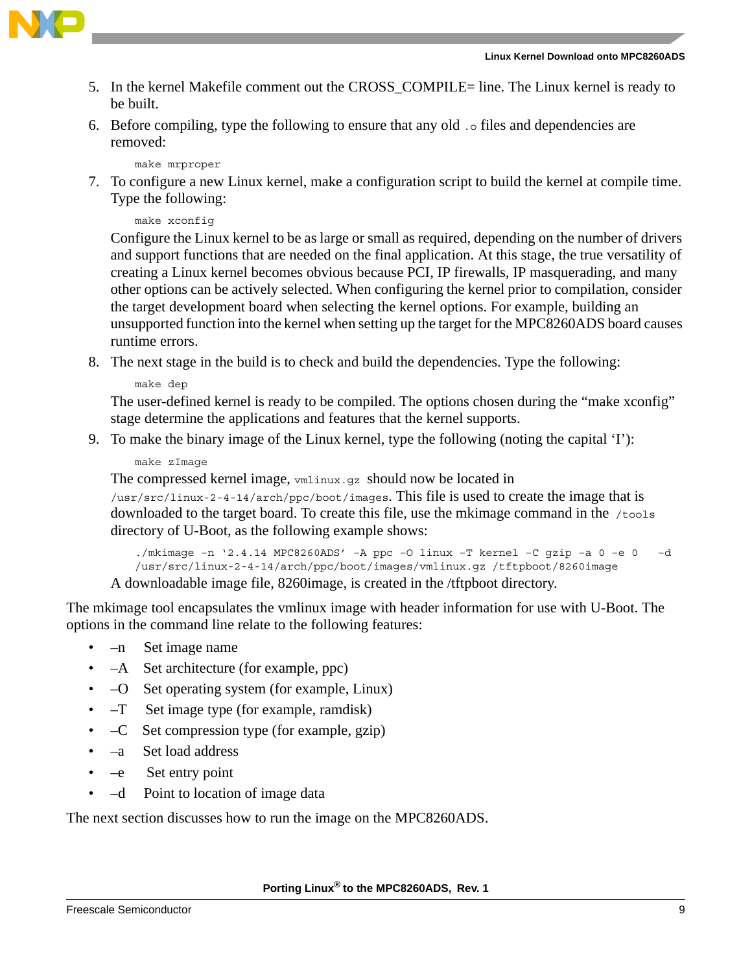



- 5. In the kernel Makefile comment out the CROSS\_COMPILE= line. The Linux kernel is ready to be built.
- 6. Before compiling, type the following to ensure that any old .o files and dependencies are removed:

make mrproper

7. To configure a new Linux kernel, make a configuration script to build the kernel at compile time. Type the following:

make xconfig

Configure the Linux kernel to be as large or small as required, depending on the number of drivers and support functions that are needed on the final application. At this stage, the true versatility of creating a Linux kernel becomes obvious because PCI, IP firewalls, IP masquerading, and many other options can be actively selected. When configuring the kernel prior to compilation, consider the target development board when selecting the kernel options. For example, building an unsupported function into the kernel when setting up the target for the MPC8260ADS board causes runtime errors.

8. The next stage in the build is to check and build the dependencies. Type the following:

make dep

The user-defined kernel is ready to be compiled. The options chosen during the "make xconfig" stage determine the applications and features that the kernel supports.

9. To make the binary image of the Linux kernel, type the following (noting the capital 'I'):

make zImage

The compressed kernel image, vmlinux.gz should now be located in

/usr/src/linux-2-4-14/arch/ppc/boot/images. This file is used to create the image that is downloaded to the target board. To create this file, use the mkimage command in the /tools directory of U-Boot, as the following example shows:

```
./mkimage –n '2.4.14 MPC8260ADS' –A ppc –O linux –T kernel –C gzip –a 0 –e 0 –d 
/usr/src/linux-2-4-14/arch/ppc/boot/images/vmlinux.gz /tftpboot/8260image
```
A downloadable image file, 8260image, is created in the /tftpboot directory.

The mkimage tool encapsulates the vmlinux image with header information for use with U-Boot. The options in the command line relate to the following features:

- –n Set image name
- –A Set architecture (for example, ppc)
- –O Set operating system (for example, Linux)
- $-T$  Set image type (for example, ramdisk)
- –C Set compression type (for example, gzip)
- –a Set load address
- $-e$  Set entry point
- –d Point to location of image data

The next section discusses how to run the image on the MPC8260ADS.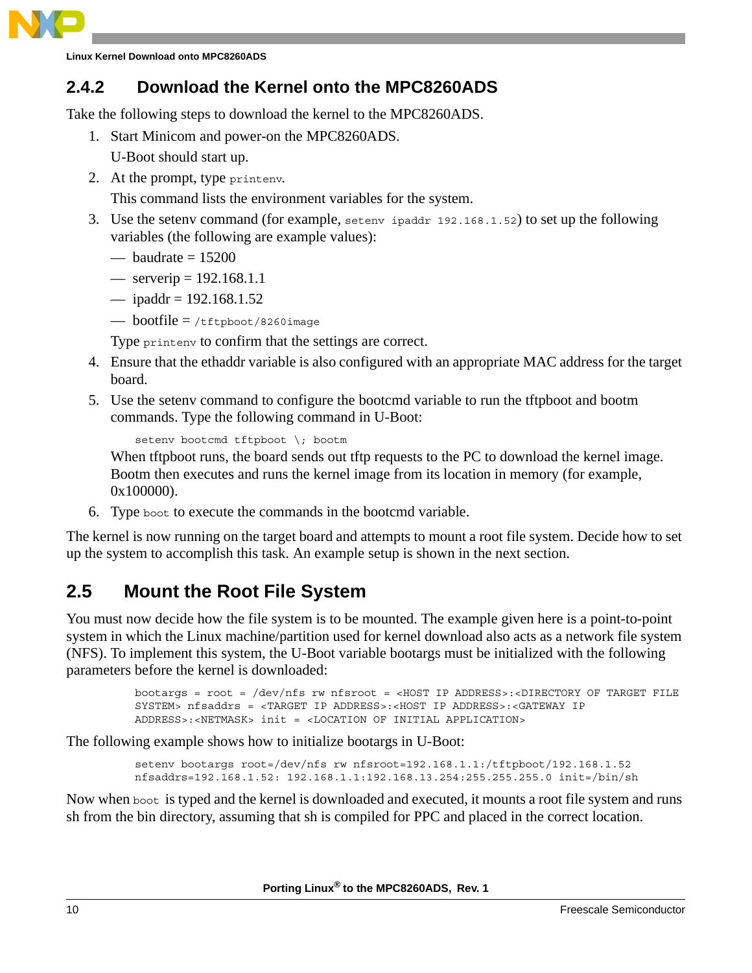

#### **2.4.2 Download the Kernel onto the MPC8260ADS**

Take the following steps to download the kernel to the MPC8260ADS.

- 1. Start Minicom and power-on the MPC8260ADS.
	- U-Boot should start up.
- 2. At the prompt, type printenv.

This command lists the environment variables for the system.

- 3. Use the setenv command (for example, setenv ipaddr 192.168.1.52) to set up the following variables (the following are example values):
	- baudrate  $= 15200$
	- serverip =  $192.168.1.1$
	- ipaddr =  $192.168.1.52$
	- $-$  bootfile = /tftpboot/8260image

Type printenv to confirm that the settings are correct.

- 4. Ensure that the ethaddr variable is also configured with an appropriate MAC address for the target board.
- 5. Use the setenv command to configure the bootcmd variable to run the tftpboot and bootm commands. Type the following command in U-Boot:

```
setenv bootcmd tftpboot \; bootm
```
When tftpboot runs, the board sends out tftp requests to the PC to download the kernel image. Bootm then executes and runs the kernel image from its location in memory (for example, 0x100000).

6. Type boot to execute the commands in the bootcmd variable.

The kernel is now running on the target board and attempts to mount a root file system. Decide how to set up the system to accomplish this task. An example setup is shown in the next section.

### **2.5 Mount the Root File System**

You must now decide how the file system is to be mounted. The example given here is a point-to-point system in which the Linux machine/partition used for kernel download also acts as a network file system (NFS). To implement this system, the U-Boot variable bootargs must be initialized with the following parameters before the kernel is downloaded:

```
bootargs = root = /dev/nfs rw nfsroot = <HOST IP ADDRESS>:<DIRECTORY OF TARGET FILE 
SYSTEM> nfsaddrs = <TARGET IP ADDRESS>:<HOST IP ADDRESS>:<GATEWAY IP 
ADDRESS>:<NETMASK> init = <LOCATION OF INITIAL APPLICATION>
```
The following example shows how to initialize bootargs in U-Boot:

setenv bootargs root=/dev/nfs rw nfsroot=192.168.1.1:/tftpboot/192.168.1.52 nfsaddrs=192.168.1.52: 192.168.1.1:192.168.13.254:255.255.255.0 init=/bin/sh

Now when boot is typed and the kernel is downloaded and executed, it mounts a root file system and runs sh from the bin directory, assuming that sh is compiled for PPC and placed in the correct location.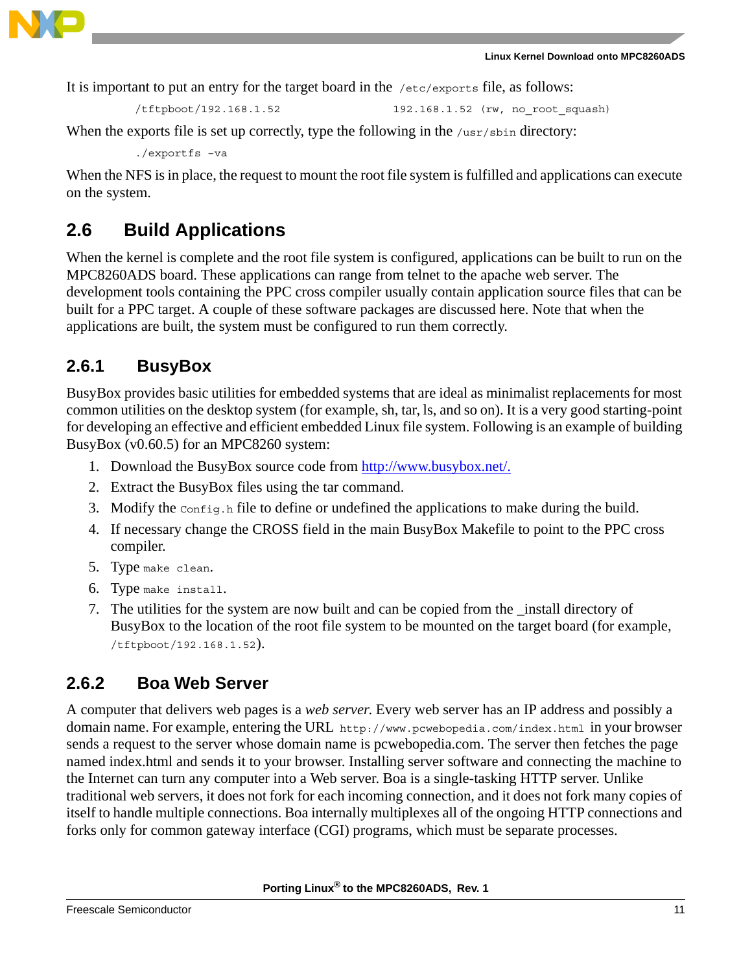

It is important to put an entry for the target board in the /etc/exports file, as follows:

```
/tftpboot/192.168.1.52 192.168.1.52 (rw, no_root_squash)
```
When the exports file is set up correctly, type the following in the  $/\text{usr}/\text{sb}$  directory:

./exportfs –va

When the NFS is in place, the request to mount the root file system is fulfilled and applications can execute on the system.

### **2.6 Build Applications**

When the kernel is complete and the root file system is configured, applications can be built to run on the MPC8260ADS board. These applications can range from telnet to the apache web server. The development tools containing the PPC cross compiler usually contain application source files that can be built for a PPC target. A couple of these software packages are discussed here. Note that when the applications are built, the system must be configured to run them correctly.

#### **2.6.1 BusyBox**

BusyBox provides basic utilities for embedded systems that are ideal as minimalist replacements for most common utilities on the desktop system (for example, sh, tar, ls, and so on). It is a very good starting-point for developing an effective and efficient embedded Linux file system. Following is an example of building BusyBox (v0.60.5) for an MPC8260 system:

- 1. Download the BusyBox source code from http://www.busybox.net/.
- 2. Extract the BusyBox files using the tar command.
- 3. Modify the  $\text{config.h}$  file to define or undefined the applications to make during the build.
- 4. If necessary change the CROSS field in the main BusyBox Makefile to point to the PPC cross compiler.
- 5. Type make clean.
- 6. Type make install.
- 7. The utilities for the system are now built and can be copied from the \_install directory of BusyBox to the location of the root file system to be mounted on the target board (for example, /tftpboot/192.168.1.52).

#### **2.6.2 Boa Web Server**

A computer that delivers web pages is a *web server*. Every web server has an IP address and possibly a domain name. For example, entering the URL http://www.pcwebopedia.com/index.html in your browser sends a request to the server whose domain name is pcwebopedia.com. The server then fetches the page named index.html and sends it to your browser. Installing server software and connecting the machine to the Internet can turn any computer into a Web server. Boa is a single-tasking HTTP server. Unlike traditional web servers, it does not fork for each incoming connection, and it does not fork many copies of itself to handle multiple connections. Boa internally multiplexes all of the ongoing HTTP connections and forks only for common gateway interface (CGI) programs, which must be separate processes.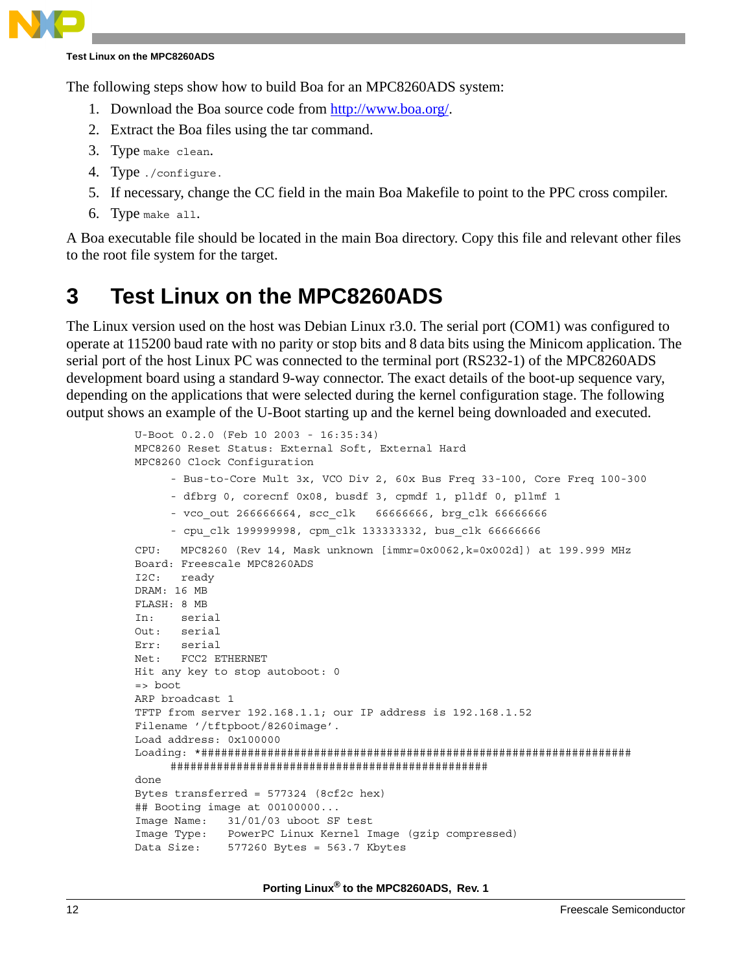

#### **Test Linux on the MPC8260ADS**

The following steps show how to build Boa for an MPC8260ADS system:

- 1. Download the Boa source code from http://www.boa.org/.
- 2. Extract the Boa files using the tar command.
- 3. Type make clean.
- 4. Type ./configure.
- 5. If necessary, change the CC field in the main Boa Makefile to point to the PPC cross compiler.
- 6. Type make all.

A Boa executable file should be located in the main Boa directory. Copy this file and relevant other files to the root file system for the target.

## **3 Test Linux on the MPC8260ADS**

The Linux version used on the host was Debian Linux r3.0. The serial port (COM1) was configured to operate at 115200 baud rate with no parity or stop bits and 8 data bits using the Minicom application. The serial port of the host Linux PC was connected to the terminal port (RS232-1) of the MPC8260ADS development board using a standard 9-way connector. The exact details of the boot-up sequence vary, depending on the applications that were selected during the kernel configuration stage. The following output shows an example of the U-Boot starting up and the kernel being downloaded and executed.

```
U-Boot 0.2.0 (Feb 10 2003 - 16:35:34)
MPC8260 Reset Status: External Soft, External Hard
MPC8260 Clock Configuration
      - Bus-to-Core Mult 3x, VCO Div 2, 60x Bus Freq 33-100, Core Freq 100-300
      - dfbrg 0, corecnf 0x08, busdf 3, cpmdf 1, plldf 0, pllmf 1
     - vco out 26666664, scc_clk 66666666, brg_clk 66666666
      - cpu_clk 199999998, cpm_clk 133333332, bus_clk 66666666
CPU: MPC8260 (Rev 14, Mask unknown [immr=0x0062,k=0x002d]) at 199.999 MHz
Board: Freescale MPC8260ADS
I2C: ready
DRAM: 16 MB
FLASH: 8 MB
In: serial
Out: serial
Err: serial
Net: FCC2 ETHERNET
Hit any key to stop autoboot: 0
=> boot
ARP broadcast 1
TFTP from server 192.168.1.1; our IP address is 192.168.1.52
Filename '/tftpboot/8260image'.
Load address: 0x100000
Loading: *#################################################################
      ################################################
done
Bytes transferred = 577324 (8cf2c hex)
## Booting image at 00100000...
Image Name: 31/01/03 uboot SF test
Image Type: PowerPC Linux Kernel Image (gzip compressed)
Data Size: 577260 Bytes = 563.7 Kbytes
```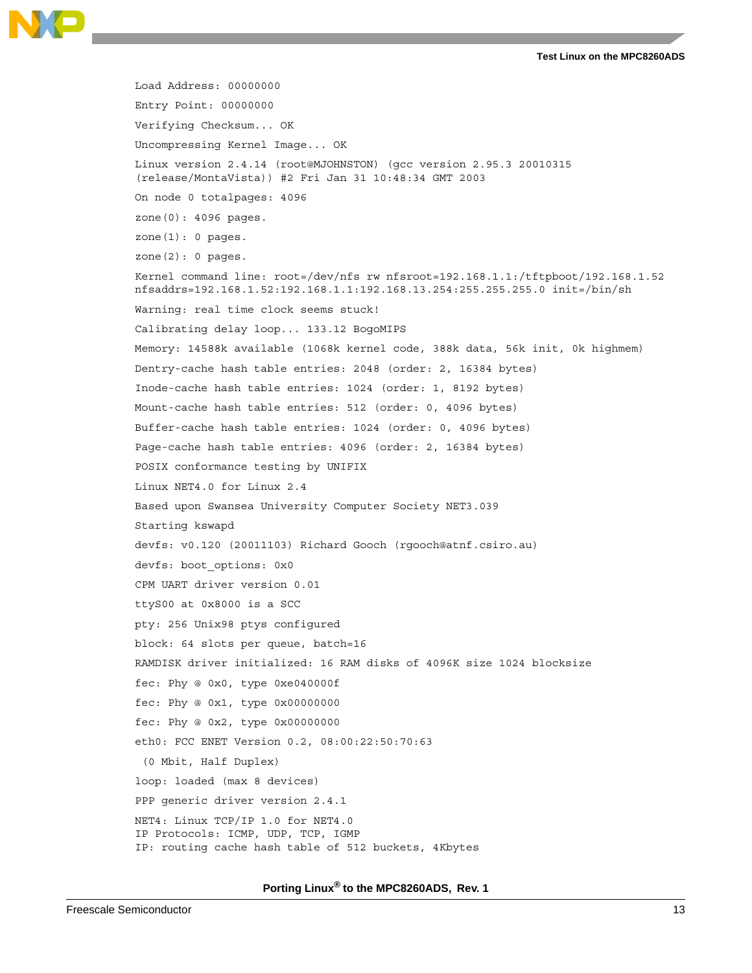**Test Linux on the MPC8260ADS**

Load Address: 00000000 Entry Point: 00000000 Verifying Checksum... OK Uncompressing Kernel Image... OK Linux version 2.4.14 (root@MJOHNSTON) (gcc version 2.95.3 20010315 (release/MontaVista)) #2 Fri Jan 31 10:48:34 GMT 2003 On node 0 totalpages: 4096 zone(0): 4096 pages. zone(1): 0 pages. zone(2): 0 pages. Kernel command line: root=/dev/nfs rw nfsroot=192.168.1.1:/tftpboot/192.168.1.52 nfsaddrs=192.168.1.52:192.168.1.1:192.168.13.254:255.255.255.0 init=/bin/sh Warning: real time clock seems stuck! Calibrating delay loop... 133.12 BogoMIPS Memory: 14588k available (1068k kernel code, 388k data, 56k init, 0k highmem) Dentry-cache hash table entries: 2048 (order: 2, 16384 bytes) Inode-cache hash table entries: 1024 (order: 1, 8192 bytes) Mount-cache hash table entries: 512 (order: 0, 4096 bytes) Buffer-cache hash table entries: 1024 (order: 0, 4096 bytes) Page-cache hash table entries: 4096 (order: 2, 16384 bytes) POSIX conformance testing by UNIFIX Linux NET4.0 for Linux 2.4 Based upon Swansea University Computer Society NET3.039 Starting kswapd devfs: v0.120 (20011103) Richard Gooch (rgooch@atnf.csiro.au) devfs: boot\_options: 0x0 CPM UART driver version 0.01 ttyS00 at 0x8000 is a SCC pty: 256 Unix98 ptys configured block: 64 slots per queue, batch=16 RAMDISK driver initialized: 16 RAM disks of 4096K size 1024 blocksize fec: Phy @ 0x0, type 0xe040000f fec: Phy @ 0x1, type 0x00000000 fec: Phy @ 0x2, type 0x00000000 eth0: FCC ENET Version 0.2, 08:00:22:50:70:63 (0 Mbit, Half Duplex) loop: loaded (max 8 devices) PPP generic driver version 2.4.1 NET4: Linux TCP/IP 1.0 for NET4.0 IP Protocols: ICMP, UDP, TCP, IGMP IP: routing cache hash table of 512 buckets, 4Kbytes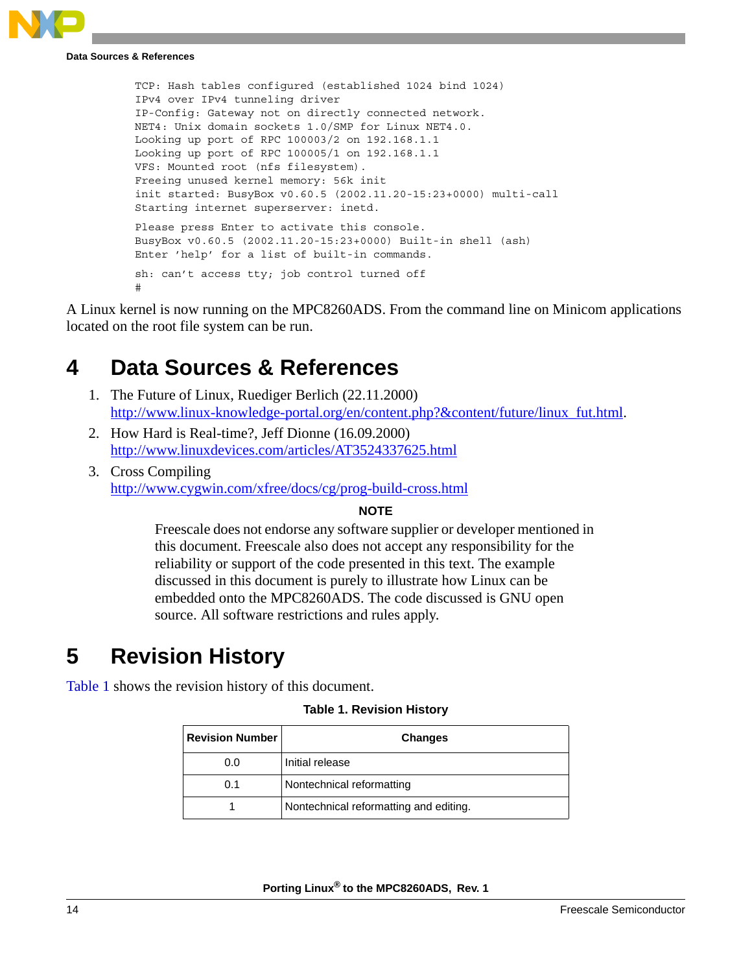

**Data Sources & References**

TCP: Hash tables configured (established 1024 bind 1024) IPv4 over IPv4 tunneling driver IP-Config: Gateway not on directly connected network. NET4: Unix domain sockets 1.0/SMP for Linux NET4.0. Looking up port of RPC 100003/2 on 192.168.1.1 Looking up port of RPC 100005/1 on 192.168.1.1 VFS: Mounted root (nfs filesystem). Freeing unused kernel memory: 56k init init started: BusyBox v0.60.5 (2002.11.20-15:23+0000) multi-call Starting internet superserver: inetd. Please press Enter to activate this console. BusyBox v0.60.5 (2002.11.20-15:23+0000) Built-in shell (ash) Enter 'help' for a list of built-in commands. sh: can't access tty; job control turned off #

A Linux kernel is now running on the MPC8260ADS. From the command line on Minicom applications located on the root file system can be run.

# **4 Data Sources & References**

- <span id="page-13-0"></span>1. The Future of Linux, Ruediger Berlich (22.11.2000) http://www.linux-knowledge-portal.org/en/content.php?&content/future/linux\_fut.html.
- <span id="page-13-1"></span>2. How Hard is Real-time?, Jeff Dionne (16.09.2000) http://www.linuxdevices.com/articles/AT3524337625.html
- <span id="page-13-2"></span>3. Cross Compiling http://www.cygwin.com/xfree/docs/cg/prog-build-cross.html

#### **NOTE**

Freescale does not endorse any software supplier or developer mentioned in this document. Freescale also does not accept any responsibility for the reliability or support of the code presented in this text. The example discussed in this document is purely to illustrate how Linux can be embedded onto the MPC8260ADS. The code discussed is GNU open source. All software restrictions and rules apply.

# **5 Revision History**

<span id="page-13-3"></span>[Table 1](#page-13-3) shows the revision history of this document.

#### **Table 1. Revision History**

| <b>Revision Number</b> | <b>Changes</b>                         |
|------------------------|----------------------------------------|
| 0.0                    | Initial release                        |
| 0.1                    | Nontechnical reformatting              |
|                        | Nontechnical reformatting and editing. |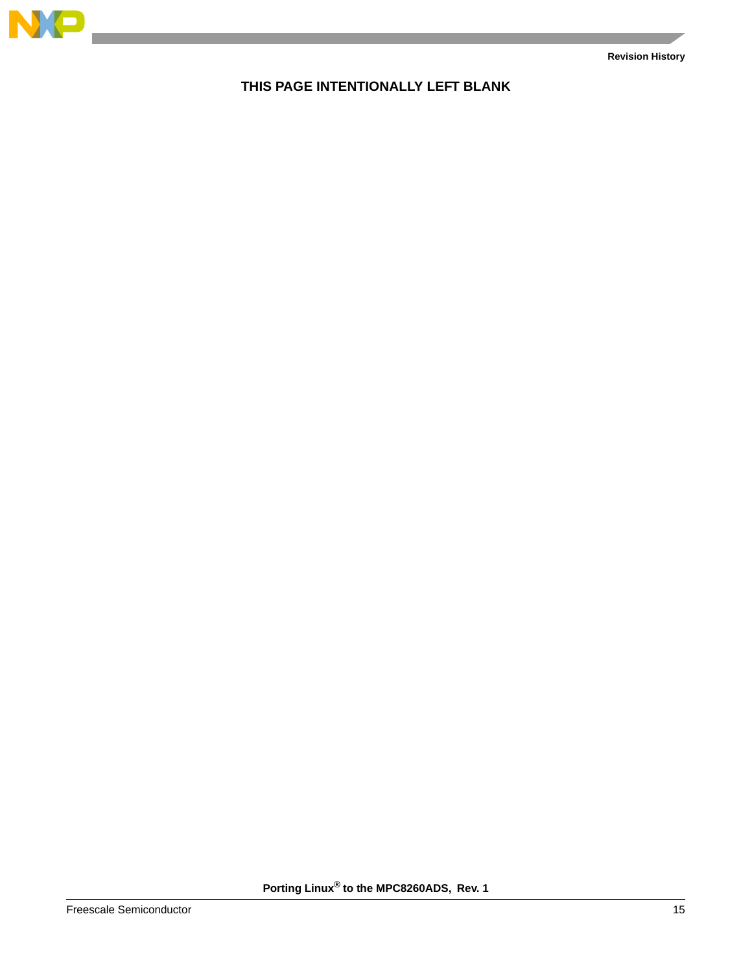

 $\overline{\phantom{a}}$ 

#### **THIS PAGE INTENTIONALLY LEFT BLANK**